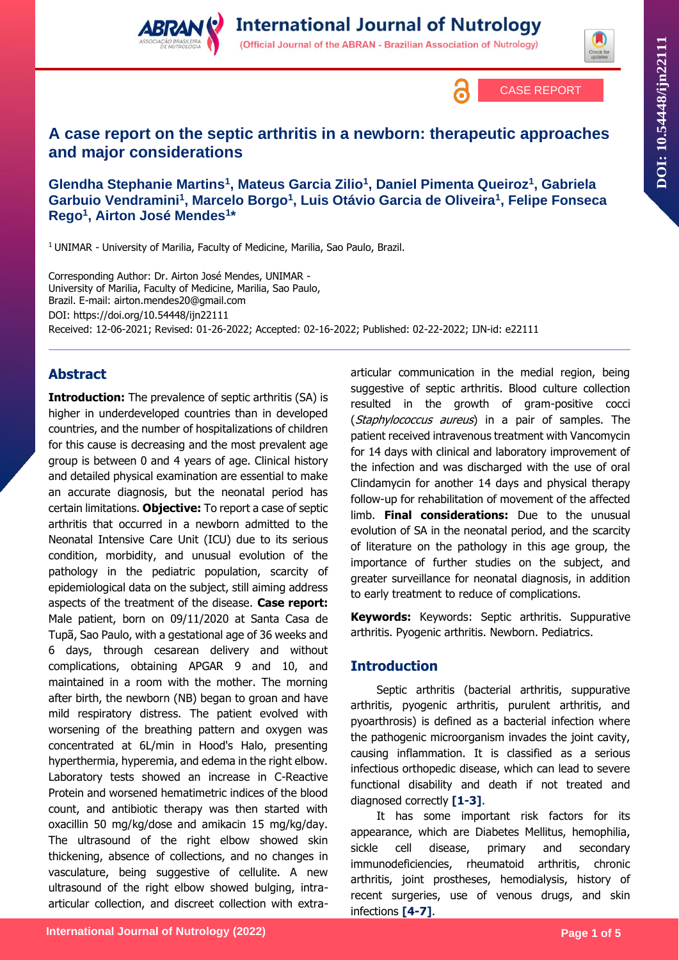





# **A case report on the septic arthritis in a newborn: therapeutic approaches and major considerations**

**Glendha Stephanie Martins<sup>1</sup> , Mateus Garcia Zilio<sup>1</sup> , Daniel Pimenta Queiroz<sup>1</sup> , Gabriela Garbuio Vendramini<sup>1</sup> , Marcelo Borgo<sup>1</sup> , Luis Otávio Garcia de Oliveira<sup>1</sup> , Felipe Fonseca Rego<sup>1</sup> , Airton José Mendes<sup>1</sup> \***

<sup>1</sup> UNIMAR - University of Marilia, Faculty of Medicine, Marilia, Sao Paulo, Brazil.

Corresponding Author: Dr. Airton José Mendes, UNIMAR - University of Marilia, Faculty of Medicine, Marilia, Sao Paulo, Brazil. E-mail: airton.mendes20@gmail.com DOI:<https://doi.org/10.54448/ijn22111> Received: 12-06-2021; Revised: 01-26-2022; Accepted: 02-16-2022; Published: 02-22-2022; IJN-id: e22111

## **Abstract**

**Introduction:** The prevalence of septic arthritis (SA) is higher in underdeveloped countries than in developed countries, and the number of hospitalizations of children for this cause is decreasing and the most prevalent age group is between 0 and 4 years of age. Clinical history and detailed physical examination are essential to make an accurate diagnosis, but the neonatal period has certain limitations. **Objective:** To report a case of septic arthritis that occurred in a newborn admitted to the Neonatal Intensive Care Unit (ICU) due to its serious condition, morbidity, and unusual evolution of the pathology in the pediatric population, scarcity of epidemiological data on the subject, still aiming address aspects of the treatment of the disease. **Case report:**  Male patient, born on 09/11/2020 at Santa Casa de Tupã, Sao Paulo, with a gestational age of 36 weeks and 6 days, through cesarean delivery and without complications, obtaining APGAR 9 and 10, and maintained in a room with the mother. The morning after birth, the newborn (NB) began to groan and have mild respiratory distress. The patient evolved with worsening of the breathing pattern and oxygen was concentrated at 6L/min in Hood's Halo, presenting hyperthermia, hyperemia, and edema in the right elbow. Laboratory tests showed an increase in C-Reactive Protein and worsened hematimetric indices of the blood count, and antibiotic therapy was then started with oxacillin 50 mg/kg/dose and amikacin 15 mg/kg/day. The ultrasound of the right elbow showed skin thickening, absence of collections, and no changes in vasculature, being suggestive of cellulite. A new ultrasound of the right elbow showed bulging, intraarticular collection, and discreet collection with extraarticular communication in the medial region, being suggestive of septic arthritis. Blood culture collection resulted in the growth of gram-positive cocci (Staphylococcus aureus) in a pair of samples. The patient received intravenous treatment with Vancomycin for 14 days with clinical and laboratory improvement of the infection and was discharged with the use of oral Clindamycin for another 14 days and physical therapy follow-up for rehabilitation of movement of the affected limb. **Final considerations:** Due to the unusual evolution of SA in the neonatal period, and the scarcity of literature on the pathology in this age group, the importance of further studies on the subject, and greater surveillance for neonatal diagnosis, in addition to early treatment to reduce of complications.

**Keywords:** Keywords: Septic arthritis. Suppurative arthritis. Pyogenic arthritis. Newborn. Pediatrics.

### **Introduction**

Septic arthritis (bacterial arthritis, suppurative arthritis, pyogenic arthritis, purulent arthritis, and pyoarthrosis) is defined as a bacterial infection where the pathogenic microorganism invades the joint cavity, causing inflammation. It is classified as a serious infectious orthopedic disease, which can lead to severe functional disability and death if not treated and diagnosed correctly **[1-3]**.

It has some important risk factors for its appearance, which are Diabetes Mellitus, hemophilia, sickle cell disease, primary and secondary immunodeficiencies, rheumatoid arthritis, chronic arthritis, joint prostheses, hemodialysis, history of recent surgeries, use of venous drugs, and skin infections **[4-7]**.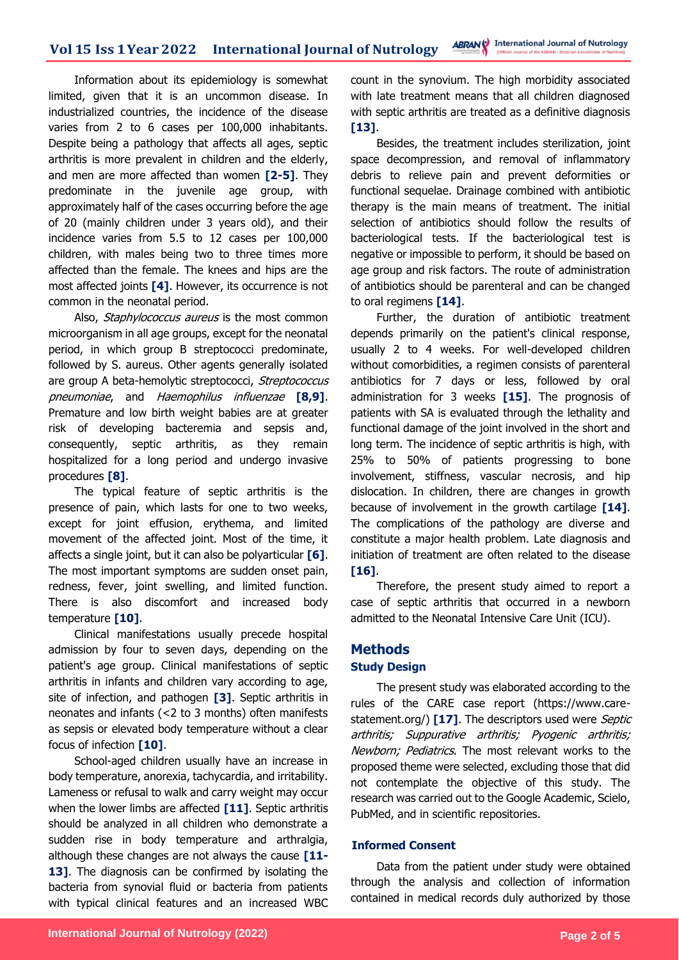Information about its epidemiology is somewhat limited, given that it is an uncommon disease. In industrialized countries, the incidence of the disease varies from 2 to 6 cases per 100,000 inhabitants. Despite being a pathology that affects all ages, septic arthritis is more prevalent in children and the elderly, and men are more affected than women **[2-5]**. They predominate in the juvenile age group, with approximately half of the cases occurring before the age of 20 (mainly children under 3 years old), and their incidence varies from 5.5 to 12 cases per 100,000 children, with males being two to three times more affected than the female. The knees and hips are the most affected joints **[4]**. However, its occurrence is not common in the neonatal period.

Also, Staphylococcus aureus is the most common microorganism in all age groups, except for the neonatal period, in which group B streptococci predominate, followed by S. aureus. Other agents generally isolated are group A beta-hemolytic streptococci, Streptococcus pneumoniae, and Haemophilus influenzae **[8,9]**. Premature and low birth weight babies are at greater risk of developing bacteremia and sepsis and, consequently, septic arthritis, as they remain hospitalized for a long period and undergo invasive procedures **[8]**.

The typical feature of septic arthritis is the presence of pain, which lasts for one to two weeks, except for joint effusion, erythema, and limited movement of the affected joint. Most of the time, it affects a single joint, but it can also be polyarticular **[6]**. The most important symptoms are sudden onset pain, redness, fever, joint swelling, and limited function. There is also discomfort and increased body temperature **[10]**.

Clinical manifestations usually precede hospital admission by four to seven days, depending on the patient's age group. Clinical manifestations of septic arthritis in infants and children vary according to age, site of infection, and pathogen **[3]**. Septic arthritis in neonates and infants (<2 to 3 months) often manifests as sepsis or elevated body temperature without a clear focus of infection **[10]**.

School-aged children usually have an increase in body temperature, anorexia, tachycardia, and irritability. Lameness or refusal to walk and carry weight may occur when the lower limbs are affected **[11]**. Septic arthritis should be analyzed in all children who demonstrate a sudden rise in body temperature and arthralgia, although these changes are not always the cause **[11-** 13]. The diagnosis can be confirmed by isolating the bacteria from synovial fluid or bacteria from patients with typical clinical features and an increased WBC count in the synovium. The high morbidity associated with late treatment means that all children diagnosed with septic arthritis are treated as a definitive diagnosis **[13]**.

Besides, the treatment includes sterilization, joint space decompression, and removal of inflammatory debris to relieve pain and prevent deformities or functional sequelae. Drainage combined with antibiotic therapy is the main means of treatment. The initial selection of antibiotics should follow the results of bacteriological tests. If the bacteriological test is negative or impossible to perform, it should be based on age group and risk factors. The route of administration of antibiotics should be parenteral and can be changed to oral regimens **[14]**.

Further, the duration of antibiotic treatment depends primarily on the patient's clinical response, usually 2 to 4 weeks. For well-developed children without comorbidities, a regimen consists of parenteral antibiotics for 7 days or less, followed by oral administration for 3 weeks **[15]**. The prognosis of patients with SA is evaluated through the lethality and functional damage of the joint involved in the short and long term. The incidence of septic arthritis is high, with 25% to 50% of patients progressing to bone involvement, stiffness, vascular necrosis, and hip dislocation. In children, there are changes in growth because of involvement in the growth cartilage **[14]**. The complications of the pathology are diverse and constitute a major health problem. Late diagnosis and initiation of treatment are often related to the disease **[16]**.

Therefore, the present study aimed to report a case of septic arthritis that occurred in a newborn admitted to the Neonatal Intensive Care Unit (ICU).

# **Methods**

#### **Study Design**

The present study was elaborated according to the rules of the CARE case report (https://www.carestatement.org/) [17]. The descriptors used were *Septic* arthritis; Suppurative arthritis; Pyogenic arthritis; Newborn; Pediatrics. The most relevant works to the proposed theme were selected, excluding those that did not contemplate the objective of this study. The research was carried out to the Google Academic, Scielo, PubMed, and in scientific repositories.

### **Informed Consent**

Data from the patient under study were obtained through the analysis and collection of information contained in medical records duly authorized by those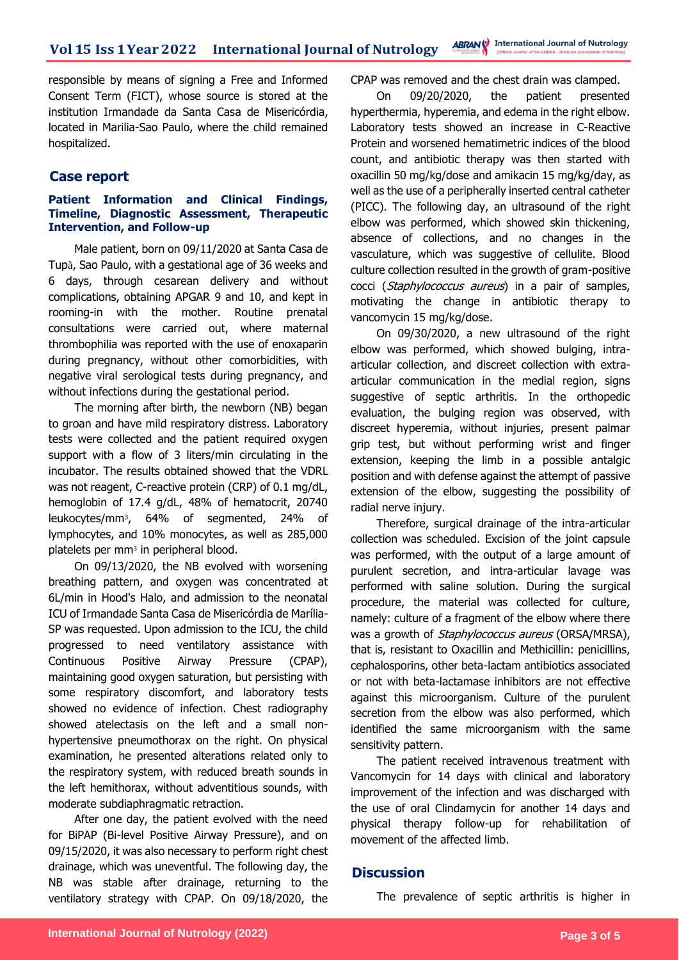responsible by means of signing a Free and Informed Consent Term (FICT), whose source is stored at the institution Irmandade da Santa Casa de Misericórdia, located in Marilia-Sao Paulo, where the child remained hospitalized.

### **Case report**

#### **Patient Information and Clinical Findings, Timeline, Diagnostic Assessment, Therapeutic Intervention, and Follow-up**

Male patient, born on 09/11/2020 at Santa Casa de Tupã, Sao Paulo, with a gestational age of 36 weeks and 6 days, through cesarean delivery and without complications, obtaining APGAR 9 and 10, and kept in rooming-in with the mother. Routine prenatal consultations were carried out, where maternal thrombophilia was reported with the use of enoxaparin during pregnancy, without other comorbidities, with negative viral serological tests during pregnancy, and without infections during the gestational period.

The morning after birth, the newborn (NB) began to groan and have mild respiratory distress. Laboratory tests were collected and the patient required oxygen support with a flow of 3 liters/min circulating in the incubator. The results obtained showed that the VDRL was not reagent, C-reactive protein (CRP) of 0.1 mg/dL, hemoglobin of 17.4 g/dL, 48% of hematocrit, 20740 leukocytes/mm³, 64% of segmented, 24% of lymphocytes, and 10% monocytes, as well as 285,000 platelets per mm<sup>3</sup> in peripheral blood.

On 09/13/2020, the NB evolved with worsening breathing pattern, and oxygen was concentrated at 6L/min in Hood's Halo, and admission to the neonatal ICU of Irmandade Santa Casa de Misericórdia de Marília-SP was requested. Upon admission to the ICU, the child progressed to need ventilatory assistance with Continuous Positive Airway Pressure (CPAP), maintaining good oxygen saturation, but persisting with some respiratory discomfort, and laboratory tests showed no evidence of infection. Chest radiography showed atelectasis on the left and a small nonhypertensive pneumothorax on the right. On physical examination, he presented alterations related only to the respiratory system, with reduced breath sounds in the left hemithorax, without adventitious sounds, with moderate subdiaphragmatic retraction.

After one day, the patient evolved with the need for BiPAP (Bi-level Positive Airway Pressure), and on 09/15/2020, it was also necessary to perform right chest drainage, which was uneventful. The following day, the NB was stable after drainage, returning to the ventilatory strategy with CPAP. On 09/18/2020, the

CPAP was removed and the chest drain was clamped.

On 09/20/2020, the patient presented hyperthermia, hyperemia, and edema in the right elbow. Laboratory tests showed an increase in C-Reactive Protein and worsened hematimetric indices of the blood count, and antibiotic therapy was then started with oxacillin 50 mg/kg/dose and amikacin 15 mg/kg/day, as well as the use of a peripherally inserted central catheter (PICC). The following day, an ultrasound of the right elbow was performed, which showed skin thickening, absence of collections, and no changes in the vasculature, which was suggestive of cellulite. Blood culture collection resulted in the growth of gram-positive cocci (Staphylococcus aureus) in a pair of samples, motivating the change in antibiotic therapy to vancomycin 15 mg/kg/dose.

On 09/30/2020, a new ultrasound of the right elbow was performed, which showed bulging, intraarticular collection, and discreet collection with extraarticular communication in the medial region, signs suggestive of septic arthritis. In the orthopedic evaluation, the bulging region was observed, with discreet hyperemia, without injuries, present palmar grip test, but without performing wrist and finger extension, keeping the limb in a possible antalgic position and with defense against the attempt of passive extension of the elbow, suggesting the possibility of radial nerve injury.

Therefore, surgical drainage of the intra-articular collection was scheduled. Excision of the joint capsule was performed, with the output of a large amount of purulent secretion, and intra-articular lavage was performed with saline solution. During the surgical procedure, the material was collected for culture, namely: culture of a fragment of the elbow where there was a growth of *Staphylococcus aureus* (ORSA/MRSA), that is, resistant to Oxacillin and Methicillin: penicillins, cephalosporins, other beta-lactam antibiotics associated or not with beta-lactamase inhibitors are not effective against this microorganism. Culture of the purulent secretion from the elbow was also performed, which identified the same microorganism with the same sensitivity pattern.

The patient received intravenous treatment with Vancomycin for 14 days with clinical and laboratory improvement of the infection and was discharged with the use of oral Clindamycin for another 14 days and physical therapy follow-up for rehabilitation of movement of the affected limb.

### **Discussion**

The prevalence of septic arthritis is higher in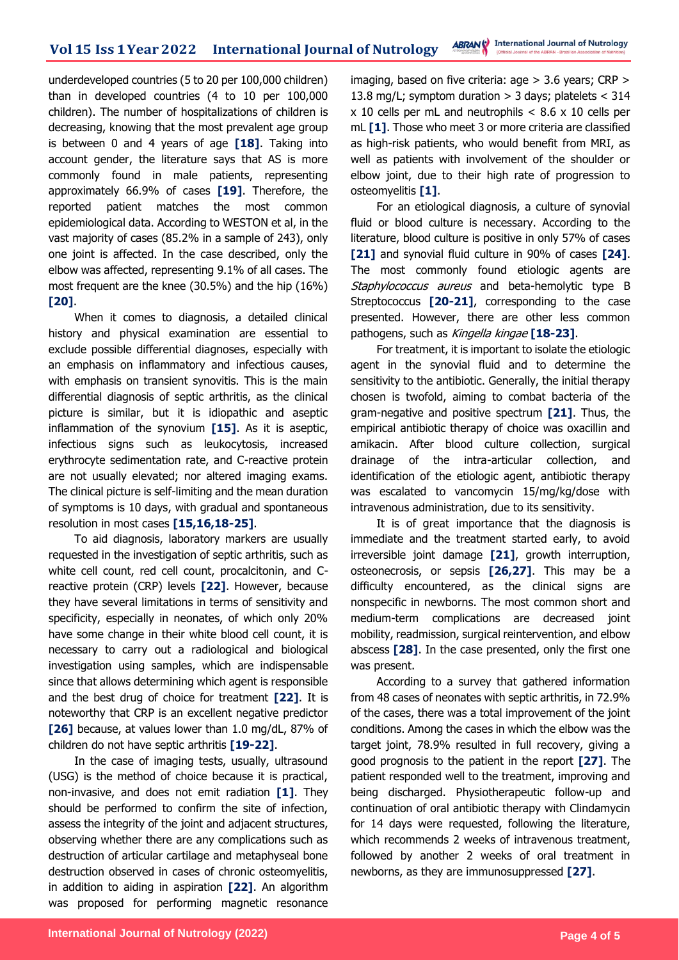underdeveloped countries (5 to 20 per 100,000 children) than in developed countries (4 to 10 per 100,000 children). The number of hospitalizations of children is decreasing, knowing that the most prevalent age group is between 0 and 4 years of age **[18]**. Taking into account gender, the literature says that AS is more commonly found in male patients, representing approximately 66.9% of cases **[19]**. Therefore, the reported patient matches the most common epidemiological data. According to WESTON et al, in the vast majority of cases (85.2% in a sample of 243), only one joint is affected. In the case described, only the elbow was affected, representing 9.1% of all cases. The most frequent are the knee (30.5%) and the hip (16%) **[20]**.

When it comes to diagnosis, a detailed clinical history and physical examination are essential to exclude possible differential diagnoses, especially with an emphasis on inflammatory and infectious causes, with emphasis on transient synovitis. This is the main differential diagnosis of septic arthritis, as the clinical picture is similar, but it is idiopathic and aseptic inflammation of the synovium **[15]**. As it is aseptic, infectious signs such as leukocytosis, increased erythrocyte sedimentation rate, and C-reactive protein are not usually elevated; nor altered imaging exams. The clinical picture is self-limiting and the mean duration of symptoms is 10 days, with gradual and spontaneous resolution in most cases **[15,16,18-25]**.

To aid diagnosis, laboratory markers are usually requested in the investigation of septic arthritis, such as white cell count, red cell count, procalcitonin, and Creactive protein (CRP) levels **[22]**. However, because they have several limitations in terms of sensitivity and specificity, especially in neonates, of which only 20% have some change in their white blood cell count, it is necessary to carry out a radiological and biological investigation using samples, which are indispensable since that allows determining which agent is responsible and the best drug of choice for treatment **[22]**. It is noteworthy that CRP is an excellent negative predictor **[26]** because, at values lower than 1.0 mg/dL, 87% of children do not have septic arthritis **[19-22]**.

In the case of imaging tests, usually, ultrasound (USG) is the method of choice because it is practical, non-invasive, and does not emit radiation **[1]**. They should be performed to confirm the site of infection, assess the integrity of the joint and adjacent structures, observing whether there are any complications such as destruction of articular cartilage and metaphyseal bone destruction observed in cases of chronic osteomyelitis, in addition to aiding in aspiration **[22]**. An algorithm was proposed for performing magnetic resonance

imaging, based on five criteria: age > 3.6 years; CRP > 13.8 mg/L; symptom duration  $>$  3 days; platelets  $<$  314  $x$  10 cells per mL and neutrophils  $< 8.6$  x 10 cells per mL **[1]**. Those who meet 3 or more criteria are classified as high-risk patients, who would benefit from MRI, as well as patients with involvement of the shoulder or elbow joint, due to their high rate of progression to osteomyelitis **[1]**.

For an etiological diagnosis, a culture of synovial fluid or blood culture is necessary. According to the literature, blood culture is positive in only 57% of cases **[21]** and synovial fluid culture in 90% of cases **[24]**. The most commonly found etiologic agents are Staphylococcus aureus and beta-hemolytic type B Streptococcus **[20-21]**, corresponding to the case presented. However, there are other less common pathogens, such as Kingella kingae **[18-23]**.

For treatment, it is important to isolate the etiologic agent in the synovial fluid and to determine the sensitivity to the antibiotic. Generally, the initial therapy chosen is twofold, aiming to combat bacteria of the gram-negative and positive spectrum **[21]**. Thus, the empirical antibiotic therapy of choice was oxacillin and amikacin. After blood culture collection, surgical drainage of the intra-articular collection, and identification of the etiologic agent, antibiotic therapy was escalated to vancomycin 15/mg/kg/dose with intravenous administration, due to its sensitivity.

It is of great importance that the diagnosis is immediate and the treatment started early, to avoid irreversible joint damage **[21]**, growth interruption, osteonecrosis, or sepsis **[26,27]**. This may be a difficulty encountered, as the clinical signs are nonspecific in newborns. The most common short and medium-term complications are decreased joint mobility, readmission, surgical reintervention, and elbow abscess **[28]**. In the case presented, only the first one was present.

According to a survey that gathered information from 48 cases of neonates with septic arthritis, in 72.9% of the cases, there was a total improvement of the joint conditions. Among the cases in which the elbow was the target joint, 78.9% resulted in full recovery, giving a good prognosis to the patient in the report **[27]**. The patient responded well to the treatment, improving and being discharged. Physiotherapeutic follow-up and continuation of oral antibiotic therapy with Clindamycin for 14 days were requested, following the literature, which recommends 2 weeks of intravenous treatment, followed by another 2 weeks of oral treatment in newborns, as they are immunosuppressed **[27]**.